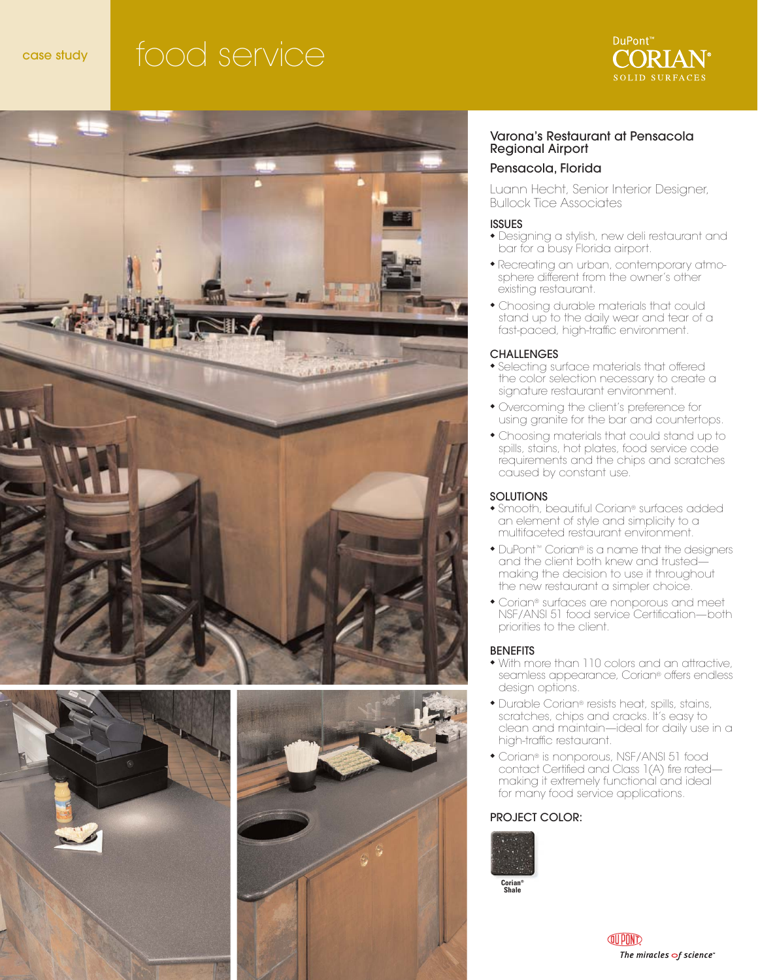# case study food service









### Varona's Restaurant at Pensacola Regional Airport

### Pensacola, Florida

Luann Hecht, Senior Interior Designer, Bullock Tice Associates

### ISSUES

- ◆ Designing a stylish, new deli restaurant and bar for a busy Florida airport.
- ◆ Recreating an urban, contemporary atmosphere different from the owner's other existing restaurant.
- ◆ Choosing durable materials that could stand up to the daily wear and tear of a fast-paced, high-traffic environment.

### **CHALLENGES**

- ◆ Selecting surface materials that offered the color selection necessary to create a signature restaurant environment.
- ◆ Overcoming the client's preference for using granite for the bar and countertops.
- ◆ Choosing materials that could stand up to spills, stains, hot plates, food service code requirements and the chips and scratches caused by constant use.

### **SOLUTIONS**

- ◆ Smooth, beautiful Corian® surfaces added an element of style and simplicity to a multifaceted restaurant environment.
- ◆ DuPont<sup>™</sup> Corian® is a name that the designers and the client both knew and trusted making the decision to use it throughout the new restaurant a simpler choice.
- ◆ Corian® surfaces are nonporous and meet NSF/ANSI 51 food service Certification—both priorities to the client.

### **BENEFITS**

- ◆ With more than 110 colors and an attractive, seamless appearance, Corian® offers endless design options.
- ◆ Durable Corian® resists heat, spills, stains, scratches, chips and cracks. It's easy to clean and maintain—ideal for daily use in a high-traffic restaurant.
- ◆ Corian® is nonporous, NSF/ANSI 51 food contact Certified and Class 1(A) fire rated making it extremely functional and ideal for many food service applications.

### PROJECT COLOR:



**Corian® Shale**